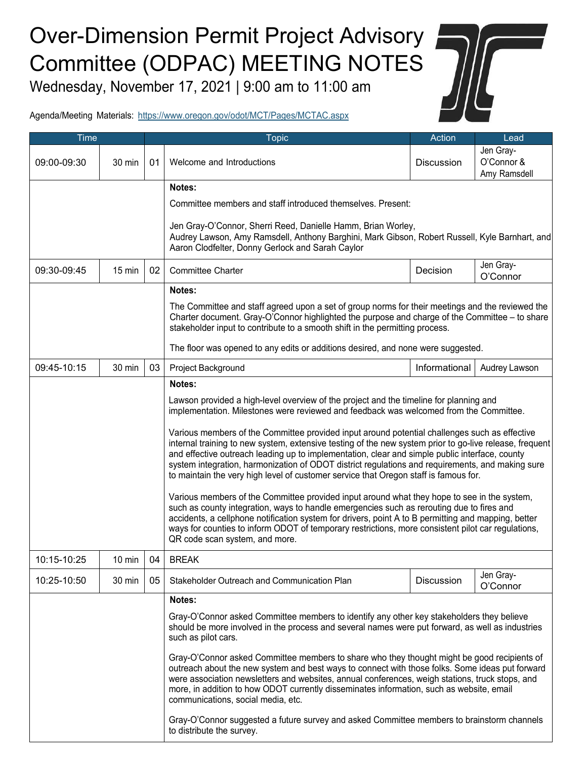## Over-Dimension Permit Project Advisory Committee (ODPAC) MEETING NOTES

Wednesday, November 17, 2021 | 9:00 am to 11:00 am



Agenda/Meeting Materials: https:/[/www.oregon.gov/odot/MCT/Pages/MCTAC.aspx](http://www.oregon.gov/odot/MCT/Pages/MCTAC.aspx)

| <b>Time</b> |                  |    | <b>Topic</b>                                                                                                                                                                                                                                                                                                                                                                                                                                                                                           | Action            | Lead                                    |  |  |  |
|-------------|------------------|----|--------------------------------------------------------------------------------------------------------------------------------------------------------------------------------------------------------------------------------------------------------------------------------------------------------------------------------------------------------------------------------------------------------------------------------------------------------------------------------------------------------|-------------------|-----------------------------------------|--|--|--|
| 09:00-09:30 | 30 min           | 01 | Welcome and Introductions                                                                                                                                                                                                                                                                                                                                                                                                                                                                              | <b>Discussion</b> | Jen Gray-<br>O'Connor &<br>Amy Ramsdell |  |  |  |
|             |                  |    | Notes:                                                                                                                                                                                                                                                                                                                                                                                                                                                                                                 |                   |                                         |  |  |  |
|             |                  |    | Committee members and staff introduced themselves. Present:                                                                                                                                                                                                                                                                                                                                                                                                                                            |                   |                                         |  |  |  |
|             |                  |    | Jen Gray-O'Connor, Sherri Reed, Danielle Hamm, Brian Worley,<br>Audrey Lawson, Amy Ramsdell, Anthony Barghini, Mark Gibson, Robert Russell, Kyle Barnhart, and<br>Aaron Clodfelter, Donny Gerlock and Sarah Caylor                                                                                                                                                                                                                                                                                     |                   |                                         |  |  |  |
| 09:30-09:45 | $15 \text{ min}$ | 02 | <b>Committee Charter</b>                                                                                                                                                                                                                                                                                                                                                                                                                                                                               | Decision          | Jen Gray-<br>O'Connor                   |  |  |  |
|             |                  |    | Notes:                                                                                                                                                                                                                                                                                                                                                                                                                                                                                                 |                   |                                         |  |  |  |
|             |                  |    | The Committee and staff agreed upon a set of group norms for their meetings and the reviewed the<br>Charter document. Gray-O'Connor highlighted the purpose and charge of the Committee - to share<br>stakeholder input to contribute to a smooth shift in the permitting process.                                                                                                                                                                                                                     |                   |                                         |  |  |  |
|             |                  |    | The floor was opened to any edits or additions desired, and none were suggested.                                                                                                                                                                                                                                                                                                                                                                                                                       |                   |                                         |  |  |  |
| 09:45-10:15 | 30 min           | 03 | Project Background                                                                                                                                                                                                                                                                                                                                                                                                                                                                                     | Informational     | Audrey Lawson                           |  |  |  |
|             |                  |    | Notes:                                                                                                                                                                                                                                                                                                                                                                                                                                                                                                 |                   |                                         |  |  |  |
|             |                  |    | Lawson provided a high-level overview of the project and the timeline for planning and<br>implementation. Milestones were reviewed and feedback was welcomed from the Committee.                                                                                                                                                                                                                                                                                                                       |                   |                                         |  |  |  |
|             |                  |    | Various members of the Committee provided input around potential challenges such as effective<br>internal training to new system, extensive testing of the new system prior to go-live release, frequent<br>and effective outreach leading up to implementation, clear and simple public interface, county<br>system integration, harmonization of ODOT district regulations and requirements, and making sure<br>to maintain the very high level of customer service that Oregon staff is famous for. |                   |                                         |  |  |  |
|             |                  |    | Various members of the Committee provided input around what they hope to see in the system,<br>such as county integration, ways to handle emergencies such as rerouting due to fires and<br>accidents, a cellphone notification system for drivers, point A to B permitting and mapping, better<br>ways for counties to inform ODOT of temporary restrictions, more consistent pilot car regulations,<br>QR code scan system, and more.                                                                |                   |                                         |  |  |  |
| 10:15-10:25 | 10 min           | 04 | <b>BREAK</b>                                                                                                                                                                                                                                                                                                                                                                                                                                                                                           |                   |                                         |  |  |  |
| 10:25-10:50 | 30 min           | 05 | Stakeholder Outreach and Communication Plan                                                                                                                                                                                                                                                                                                                                                                                                                                                            | <b>Discussion</b> | Jen Gray-<br>O'Connor                   |  |  |  |
|             |                  |    | Notes:                                                                                                                                                                                                                                                                                                                                                                                                                                                                                                 |                   |                                         |  |  |  |
|             |                  |    | Gray-O'Connor asked Committee members to identify any other key stakeholders they believe<br>should be more involved in the process and several names were put forward, as well as industries<br>such as pilot cars.                                                                                                                                                                                                                                                                                   |                   |                                         |  |  |  |
|             |                  |    | Gray-O'Connor asked Committee members to share who they thought might be good recipients of<br>outreach about the new system and best ways to connect with those folks. Some ideas put forward<br>were association newsletters and websites, annual conferences, weigh stations, truck stops, and<br>more, in addition to how ODOT currently disseminates information, such as website, email<br>communications, social media, etc.                                                                    |                   |                                         |  |  |  |
|             |                  |    | Gray-O'Connor suggested a future survey and asked Committee members to brainstorm channels<br>to distribute the survey.                                                                                                                                                                                                                                                                                                                                                                                |                   |                                         |  |  |  |